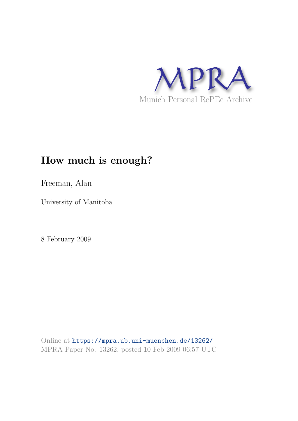

# **How much is enough?**

Freeman, Alan

University of Manitoba

8 February 2009

Online at https://mpra.ub.uni-muenchen.de/13262/ MPRA Paper No. 13262, posted 10 Feb 2009 06:57 UTC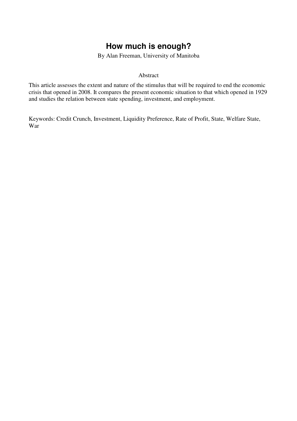## **How much is enough?**

By Alan Freeman, University of Manitoba

#### Abstract

This article assesses the extent and nature of the stimulus that will be required to end the economic crisis that opened in 2008. It compares the present economic situation to that which opened in 1929 and studies the relation between state spending, investment, and employment.

Keywords: Credit Crunch, Investment, Liquidity Preference, Rate of Profit, State, Welfare State, War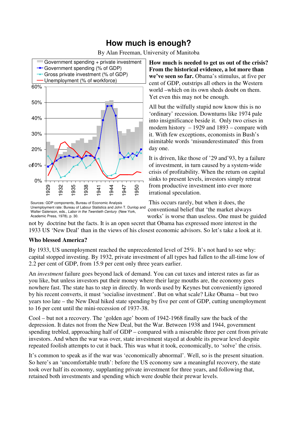## **How much is enough?**

By Alan Freeman, University of Manitoba



Sources: GDP components, Bureau of Economic Analysis Unemployment rate: Bureau of Labour Statistics and John T. Dunlop and Walter Galenson, eds., Labor in the Twentieth Century (New York, Academic Press, 1978), p. 30.

**How much is needed to get us out of the crisis? From the historical evidence, a lot more than we've seen so far.** Obama's stimulus, at five per cent of GDP, outstrips all others in the Western world –which on its own sheds doubt on them. Yet even this may not be enough.

All but the wilfully stupid now know this is no 'ordinary' recession. Downturns like 1974 pale into insignificance beside it. Only two crises in modern history – 1929 and 1893 – compare with it. With few exceptions, economists in Bush's inimitable words 'misunderestimated' this from day one.

It is driven, like those of '29 and'93, by a failure of investment, in turn caused by a system-wide crisis of profitability. When the return on capital sinks to present levels, investors simply retreat from productive investment into ever more irrational speculation.

This occurs rarely, but when it does, the conventional belief that 'the market always works' is worse than useless. One must be guided

not by doctrine but the facts. It is an open secret that Obama has expressed more interest in the 1933 US 'New Deal' than in the views of his closest economic advisors. So let's take a look at it.

### **Who blessed America?**

By 1933, US unemployment reached the unprecedented level of 25%. It's not hard to see why: capital stopped investing. By 1932, private investment of all types had fallen to the all-time low of 2.2 per cent of GDP, from 15.9 per cent only three years earlier.

An *investment* failure goes beyond lack of demand. You can cut taxes and interest rates as far as you like, but unless investors put their money where their large mouths are, the economy goes nowhere fast. The state has to step in directly. In words used by Keynes but conveniently ignored by his recent converts, it must 'socialise investment'. But on what scale? Like Obama – but two years too late – the New Deal hiked state spending by five per cent of GDP, cutting unemployment to 16 per cent until the mini-recession of 1937-38.

Cool – but not a recovery. The 'golden age' boom of 1942-1968 finally saw the back of the depression. It dates not from the New Deal, but the War. Between 1938 and 1944, government spending trebled, approaching half of GDP – compared with a miserable three per cent from private investors. And when the war was over, state investment stayed at double its prewar level despite repeated foolish attempts to cut it back. This was what it took, economically, to 'solve' the crisis.

It's common to speak as if the war was 'economically abnormal'. Well, so is the present situation. So here's an 'uncomfortable truth': before the US economy saw a meaningful recovery, the state took over half its economy, supplanting private investment for three years, and following that, retained both investments and spending which were double their prewar levels.